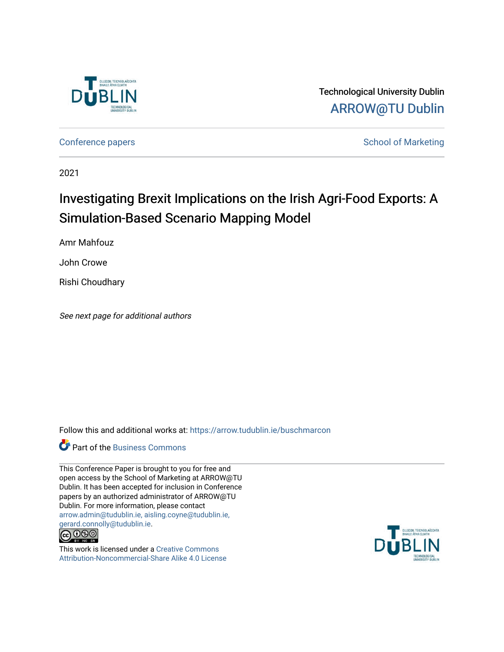

Technological University Dublin [ARROW@TU Dublin](https://arrow.tudublin.ie/) 

[Conference papers](https://arrow.tudublin.ie/buschmarcon) **School of Marketing** Conference papers **School of Marketing** 

2021

# Investigating Brexit Implications on the Irish Agri-Food Exports: A Simulation-Based Scenario Mapping Model

Amr Mahfouz

John Crowe

Rishi Choudhary

See next page for additional authors

Follow this and additional works at: [https://arrow.tudublin.ie/buschmarcon](https://arrow.tudublin.ie/buschmarcon?utm_source=arrow.tudublin.ie%2Fbuschmarcon%2F194&utm_medium=PDF&utm_campaign=PDFCoverPages) 

### **Part of the [Business Commons](http://network.bepress.com/hgg/discipline/622?utm_source=arrow.tudublin.ie%2Fbuschmarcon%2F194&utm_medium=PDF&utm_campaign=PDFCoverPages)**

This Conference Paper is brought to you for free and open access by the School of Marketing at ARROW@TU Dublin. It has been accepted for inclusion in Conference papers by an authorized administrator of ARROW@TU Dublin. For more information, please contact [arrow.admin@tudublin.ie, aisling.coyne@tudublin.ie,](mailto:arrow.admin@tudublin.ie,%20aisling.coyne@tudublin.ie,%20gerard.connolly@tudublin.ie)  [gerard.connolly@tudublin.ie](mailto:arrow.admin@tudublin.ie,%20aisling.coyne@tudublin.ie,%20gerard.connolly@tudublin.ie).



This work is licensed under a [Creative Commons](http://creativecommons.org/licenses/by-nc-sa/4.0/) [Attribution-Noncommercial-Share Alike 4.0 License](http://creativecommons.org/licenses/by-nc-sa/4.0/)

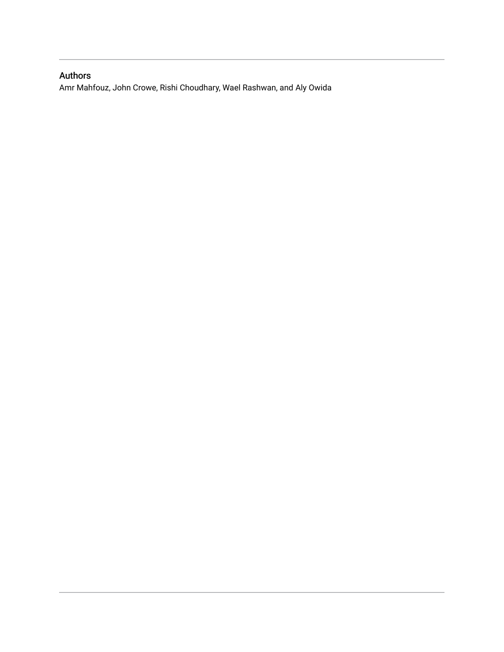## Authors

Amr Mahfouz, John Crowe, Rishi Choudhary, Wael Rashwan, and Aly Owida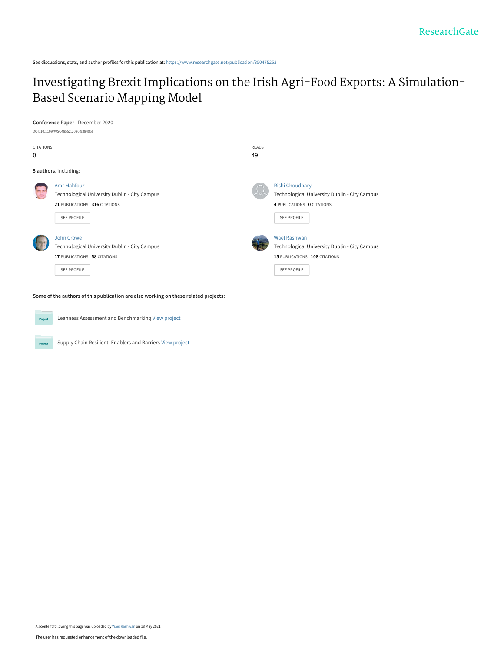See discussions, stats, and author profiles for this publication at: [https://www.researchgate.net/publication/350475253](https://www.researchgate.net/publication/350475253_Investigating_Brexit_Implications_on_the_Irish_Agri-Food_Exports_A_Simulation-Based_Scenario_Mapping_Model?enrichId=rgreq-33146aa2a81dc43dccddf7372effc289-XXX&enrichSource=Y292ZXJQYWdlOzM1MDQ3NTI1MztBUzoxMDI0ODU4OTQ3MzM4MjQwQDE2MjEzNTY4MjIwMzA%3D&el=1_x_2&_esc=publicationCoverPdf)

## [Investigating Brexit Implications on the Irish Agri-Food Exports: A Simulation-](https://www.researchgate.net/publication/350475253_Investigating_Brexit_Implications_on_the_Irish_Agri-Food_Exports_A_Simulation-Based_Scenario_Mapping_Model?enrichId=rgreq-33146aa2a81dc43dccddf7372effc289-XXX&enrichSource=Y292ZXJQYWdlOzM1MDQ3NTI1MztBUzoxMDI0ODU4OTQ3MzM4MjQwQDE2MjEzNTY4MjIwMzA%3D&el=1_x_3&_esc=publicationCoverPdf)Based Scenario Mapping Model

#### **Conference Paper** · December 2020

|                       | DOI: 10.1109/WSC48552.2020.9384056                                                                                  |                                                                                                                             |  |  |  |
|-----------------------|---------------------------------------------------------------------------------------------------------------------|-----------------------------------------------------------------------------------------------------------------------------|--|--|--|
| <b>CITATIONS</b><br>0 |                                                                                                                     | <b>READS</b><br>49                                                                                                          |  |  |  |
|                       | 5 authors, including:                                                                                               |                                                                                                                             |  |  |  |
| <b>OFF</b>            | <b>Amr Mahfouz</b><br>Technological University Dublin - City Campus<br>21 PUBLICATIONS 316 CITATIONS<br>SEE PROFILE | <b>Rishi Choudhary</b><br>Technological University Dublin - City Campus<br>4 PUBLICATIONS 0 CITATIONS<br><b>SEE PROFILE</b> |  |  |  |
|                       | John Crowe<br>Technological University Dublin - City Campus<br>17 PUBLICATIONS 58 CITATIONS<br>SEE PROFILE          | <b>Wael Rashwan</b><br>Technological University Dublin - City Campus<br>15 PUBLICATIONS 108 CITATIONS<br><b>SEE PROFILE</b> |  |  |  |

**Some of the authors of this publication are also working on these related projects:**



Leanness Assessment and Benchmarking [View project](https://www.researchgate.net/project/Leanness-Assessment-and-Benchmarking?enrichId=rgreq-33146aa2a81dc43dccddf7372effc289-XXX&enrichSource=Y292ZXJQYWdlOzM1MDQ3NTI1MztBUzoxMDI0ODU4OTQ3MzM4MjQwQDE2MjEzNTY4MjIwMzA%3D&el=1_x_9&_esc=publicationCoverPdf)

Project

Supply Chain Resilient: Enablers and Barriers [View project](https://www.researchgate.net/project/Supply-Chain-Resilient-Enablers-and-Barriers?enrichId=rgreq-33146aa2a81dc43dccddf7372effc289-XXX&enrichSource=Y292ZXJQYWdlOzM1MDQ3NTI1MztBUzoxMDI0ODU4OTQ3MzM4MjQwQDE2MjEzNTY4MjIwMzA%3D&el=1_x_9&_esc=publicationCoverPdf)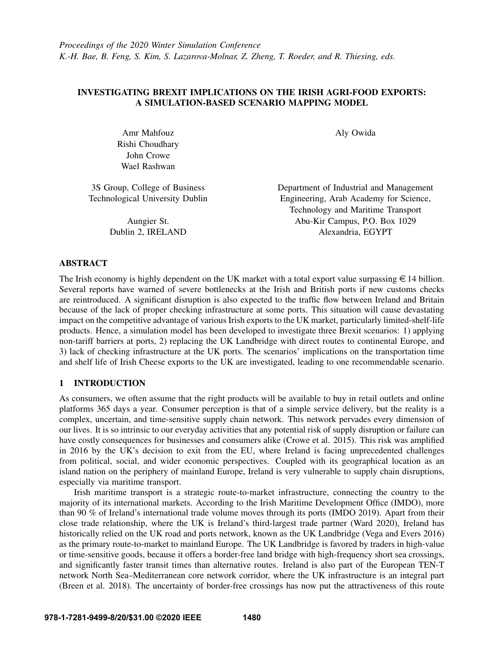#### INVESTIGATING BREXIT IMPLICATIONS ON THE IRISH AGRI-FOOD EXPORTS: A SIMULATION-BASED SCENARIO MAPPING MODEL

Amr Mahfouz Rishi Choudhary John Crowe Wael Rashwan

3S Group, College of Business Technological University Dublin

> Aungier St. Dublin 2, IRELAND

Aly Owida

Department of Industrial and Management Engineering, Arab Academy for Science, Technology and Maritime Transport Abu-Kir Campus, P.O. Box 1029 Alexandria, EGYPT

#### ABSTRACT

The Irish economy is highly dependent on the UK market with a total export value surpassing  $\epsilon$  14 billion. Several reports have warned of severe bottlenecks at the Irish and British ports if new customs checks are reintroduced. A significant disruption is also expected to the traffic flow between Ireland and Britain because of the lack of proper checking infrastructure at some ports. This situation will cause devastating impact on the competitive advantage of various Irish exports to the UK market, particularly limited-shelf-life products. Hence, a simulation model has been developed to investigate three Brexit scenarios: 1) applying non-tariff barriers at ports, 2) replacing the UK Landbridge with direct routes to continental Europe, and 3) lack of checking infrastructure at the UK ports. The scenarios' implications on the transportation time and shelf life of Irish Cheese exports to the UK are investigated, leading to one recommendable scenario.

#### 1 INTRODUCTION

As consumers, we often assume that the right products will be available to buy in retail outlets and online platforms 365 days a year. Consumer perception is that of a simple service delivery, but the reality is a complex, uncertain, and time-sensitive supply chain network. This network pervades every dimension of our lives. It is so intrinsic to our everyday activities that any potential risk of supply disruption or failure can have costly consequences for businesses and consumers alike [\(Crowe et al. 2015\)](#page-13-0). This risk was amplified in 2016 by the UK's decision to exit from the EU, where Ireland is facing unprecedented challenges from political, social, and wider economic perspectives. Coupled with its geographical location as an island nation on the periphery of mainland Europe, Ireland is very vulnerable to supply chain disruptions, especially via maritime transport.

Irish maritime transport is a strategic route-to-market infrastructure, connecting the country to the majority of its international markets. According to the Irish Maritime Development Office (IMDO), more than 90 % of Ireland's international trade volume moves through its ports [\(IMDO 2019\)](#page-13-1). Apart from their close trade relationship, where the UK is Ireland's third-largest trade partner [\(Ward 2020\)](#page-14-0), Ireland has historically relied on the UK road and ports network, known as the UK Landbridge [\(Vega and Evers 2016\)](#page-14-1) as the primary route-to-market to mainland Europe. The UK Landbridge is favored by traders in high-value or time-sensitive goods, because it offers a border-free land bridge with high-frequency short sea crossings, and significantly faster transit times than alternative routes. Ireland is also part of the European TEN-T network North Sea–Mediterranean core network corridor, where the UK infrastructure is an integral part [\(Breen et al. 2018\)](#page-13-2). The uncertainty of border-free crossings has now put the attractiveness of this route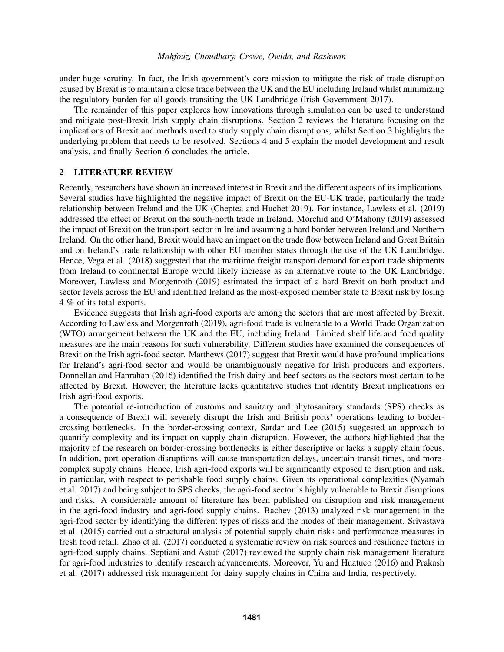under huge scrutiny. In fact, the Irish government's core mission to mitigate the risk of trade disruption caused by Brexit is to maintain a close trade between the UK and the EU including Ireland whilst minimizing the regulatory burden for all goods transiting the UK Landbridge [\(Irish Government 2017\)](#page-13-3).

The remainder of this paper explores how innovations through simulation can be used to understand and mitigate post-Brexit Irish supply chain disruptions. Section 2 reviews the literature focusing on the implications of Brexit and methods used to study supply chain disruptions, whilst Section 3 highlights the underlying problem that needs to be resolved. Sections 4 and 5 explain the model development and result analysis, and finally Section 6 concludes the article.

#### 2 LITERATURE REVIEW

Recently, researchers have shown an increased interest in Brexit and the different aspects of its implications. Several studies have highlighted the negative impact of Brexit on the EU-UK trade, particularly the trade relationship between Ireland and the UK [\(Cheptea and Huchet 2019\)](#page-13-4). For instance, [Lawless et al. \(2019\)](#page-13-5) addressed the effect of Brexit on the south-north trade in Ireland. [Morchid and O'Mahony \(2019\)](#page-14-2) assessed the impact of Brexit on the transport sector in Ireland assuming a hard border between Ireland and Northern Ireland. On the other hand, Brexit would have an impact on the trade flow between Ireland and Great Britain and on Ireland's trade relationship with other EU member states through the use of the UK Landbridge. Hence, [Vega et al. \(2018\)](#page-14-3) suggested that the maritime freight transport demand for export trade shipments from Ireland to continental Europe would likely increase as an alternative route to the UK Landbridge. Moreover, [Lawless and Morgenroth \(2019\)](#page-13-6) estimated the impact of a hard Brexit on both product and sector levels across the EU and identified Ireland as the most-exposed member state to Brexit risk by losing 4 % of its total exports.

Evidence suggests that Irish agri-food exports are among the sectors that are most affected by Brexit. According to [Lawless and Morgenroth \(2019\),](#page-13-6) agri-food trade is vulnerable to a World Trade Organization (WTO) arrangement between the UK and the EU, including Ireland. Limited shelf life and food quality measures are the main reasons for such vulnerability. Different studies have examined the consequences of Brexit on the Irish agri-food sector. [Matthews \(2017\)](#page-13-7) suggest that Brexit would have profound implications for Ireland's agri-food sector and would be unambiguously negative for Irish producers and exporters. [Donnellan and Hanrahan \(2016\)](#page-13-8) identified the Irish dairy and beef sectors as the sectors most certain to be affected by Brexit. However, the literature lacks quantitative studies that identify Brexit implications on Irish agri-food exports.

The potential re-introduction of customs and sanitary and phytosanitary standards (SPS) checks as a consequence of Brexit will severely disrupt the Irish and British ports' operations leading to bordercrossing bottlenecks. In the border-crossing context, [Sardar and Lee \(2015\)](#page-14-4) suggested an approach to quantify complexity and its impact on supply chain disruption. However, the authors highlighted that the majority of the research on border-crossing bottlenecks is either descriptive or lacks a supply chain focus. In addition, port operation disruptions will cause transportation delays, uncertain transit times, and morecomplex supply chains. Hence, Irish agri-food exports will be significantly exposed to disruption and risk, in particular, with respect to perishable food supply chains. Given its operational complexities [\(Nyamah](#page-14-5) [et al. 2017\)](#page-14-5) and being subject to SPS checks, the agri-food sector is highly vulnerable to Brexit disruptions and risks. A considerable amount of literature has been published on disruption and risk management in the agri-food industry and agri-food supply chains. [Bachev \(2013\)](#page-13-9) analyzed risk management in the agri-food sector by identifying the different types of risks and the modes of their management. [Srivastava](#page-14-6) [et al. \(2015\)](#page-14-6) carried out a structural analysis of potential supply chain risks and performance measures in fresh food retail. [Zhao et al. \(2017\)](#page-14-7) conducted a systematic review on risk sources and resilience factors in agri-food supply chains. [Septiani and Astuti \(2017\)](#page-14-8) reviewed the supply chain risk management literature for agri-food industries to identify research advancements. Moreover, [Yu and Huatuco \(2016\)](#page-14-9) and [Prakash](#page-14-10) [et al. \(2017\)](#page-14-10) addressed risk management for dairy supply chains in China and India, respectively.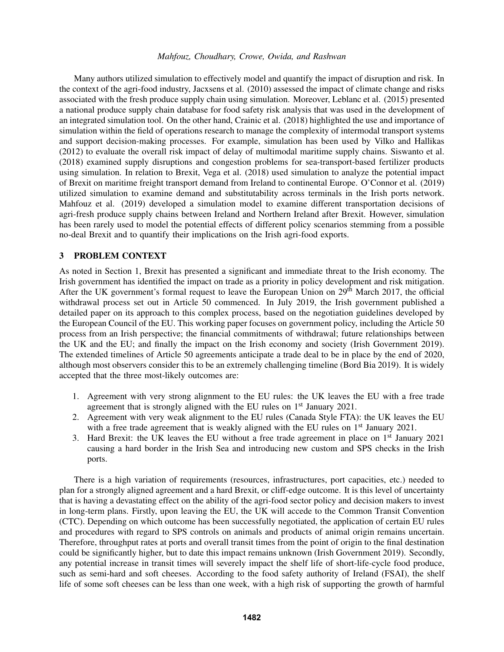Many authors utilized simulation to effectively model and quantify the impact of disruption and risk. In the context of the agri-food industry, [Jacxsens et al. \(2010\)](#page-13-10) assessed the impact of climate change and risks associated with the fresh produce supply chain using simulation. Moreover, [Leblanc et al. \(2015\)](#page-13-11) presented a national produce supply chain database for food safety risk analysis that was used in the development of an integrated simulation tool. On the other hand, [Crainic et al. \(2018\)](#page-13-12) highlighted the use and importance of simulation within the field of operations research to manage the complexity of intermodal transport systems and support decision-making processes. For example, simulation has been used by [Vilko and Hallikas](#page-14-11) [\(2012\)](#page-14-11) to evaluate the overall risk impact of delay of multimodal maritime supply chains. [Siswanto et al.](#page-14-12) [\(2018\)](#page-14-12) examined supply disruptions and congestion problems for sea-transport-based fertilizer products using simulation. In relation to Brexit, [Vega et al. \(2018\)](#page-14-3) used simulation to analyze the potential impact of Brexit on maritime freight transport demand from Ireland to continental Europe. [O'Connor et al. \(2019\)](#page-14-13) utilized simulation to examine demand and substitutability across terminals in the Irish ports network. [Mahfouz et al. \(2019\)](#page-13-13) developed a simulation model to examine different transportation decisions of agri-fresh produce supply chains between Ireland and Northern Ireland after Brexit. However, simulation has been rarely used to model the potential effects of different policy scenarios stemming from a possible no-deal Brexit and to quantify their implications on the Irish agri-food exports.

#### 3 PROBLEM CONTEXT

As noted in Section 1, Brexit has presented a significant and immediate threat to the Irish economy. The Irish government has identified the impact on trade as a priority in policy development and risk mitigation. After the UK government's formal request to leave the European Union on 29<sup>th</sup> March 2017, the official withdrawal process set out in Article 50 commenced. In July 2019, the Irish government published a detailed paper on its approach to this complex process, based on the negotiation guidelines developed by the European Council of the EU. This working paper focuses on government policy, including the Article 50 process from an Irish perspective; the financial commitments of withdrawal; future relationships between the UK and the EU; and finally the impact on the Irish economy and society [\(Irish Government 2019\)](#page-13-14). The extended timelines of Article 50 agreements anticipate a trade deal to be in place by the end of 2020, although most observers consider this to be an extremely challenging timeline [\(Bord Bia 2019\)](#page-13-15). It is widely accepted that the three most-likely outcomes are:

- 1. Agreement with very strong alignment to the EU rules: the UK leaves the EU with a free trade agreement that is strongly aligned with the EU rules on 1<sup>st</sup> January 2021.
- 2. Agreement with very weak alignment to the EU rules (Canada Style FTA): the UK leaves the EU with a free trade agreement that is weakly aligned with the EU rules on  $1<sup>st</sup>$  January 2021.
- 3. Hard Brexit: the UK leaves the EU without a free trade agreement in place on  $1<sup>st</sup>$  January 2021 causing a hard border in the Irish Sea and introducing new custom and SPS checks in the Irish ports.

There is a high variation of requirements (resources, infrastructures, port capacities, etc.) needed to plan for a strongly aligned agreement and a hard Brexit, or cliff-edge outcome. It is this level of uncertainty that is having a devastating effect on the ability of the agri-food sector policy and decision makers to invest in long-term plans. Firstly, upon leaving the EU, the UK will accede to the Common Transit Convention (CTC). Depending on which outcome has been successfully negotiated, the application of certain EU rules and procedures with regard to SPS controls on animals and products of animal origin remains uncertain. Therefore, throughput rates at ports and overall transit times from the point of origin to the final destination could be significantly higher, but to date this impact remains unknown [\(Irish Government 2019\)](#page-13-14). Secondly, any potential increase in transit times will severely impact the shelf life of short-life-cycle food produce, such as semi-hard and soft cheeses. According to the food safety authority of Ireland (FSAI), the shelf life of some soft cheeses can be less than one week, with a high risk of supporting the growth of harmful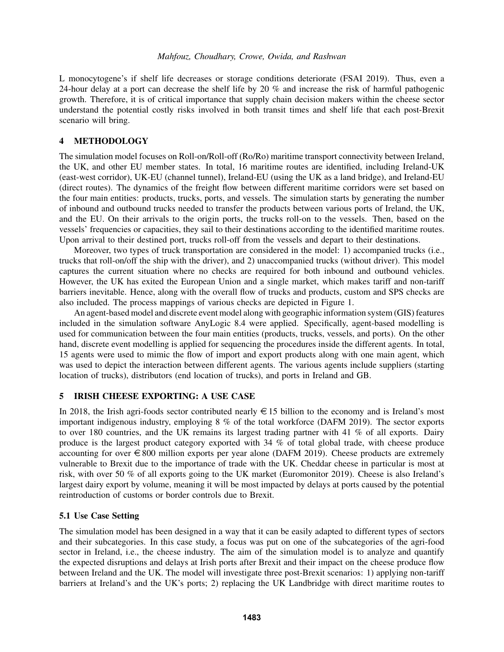L monocytogene's if shelf life decreases or storage conditions deteriorate [\(FSAI 2019\)](#page-13-16). Thus, even a 24-hour delay at a port can decrease the shelf life by 20 % and increase the risk of harmful pathogenic growth. Therefore, it is of critical importance that supply chain decision makers within the cheese sector understand the potential costly risks involved in both transit times and shelf life that each post-Brexit scenario will bring.

#### 4 METHODOLOGY

The simulation model focuses on Roll-on/Roll-off (Ro/Ro) maritime transport connectivity between Ireland, the UK, and other EU member states. In total, 16 maritime routes are identified, including Ireland-UK (east-west corridor), UK-EU (channel tunnel), Ireland-EU (using the UK as a land bridge), and Ireland-EU (direct routes). The dynamics of the freight flow between different maritime corridors were set based on the four main entities: products, trucks, ports, and vessels. The simulation starts by generating the number of inbound and outbound trucks needed to transfer the products between various ports of Ireland, the UK, and the EU. On their arrivals to the origin ports, the trucks roll-on to the vessels. Then, based on the vessels' frequencies or capacities, they sail to their destinations according to the identified maritime routes. Upon arrival to their destined port, trucks roll-off from the vessels and depart to their destinations.

Moreover, two types of truck transportation are considered in the model: 1) accompanied trucks (i.e., trucks that roll-on/off the ship with the driver), and 2) unaccompanied trucks (without driver). This model captures the current situation where no checks are required for both inbound and outbound vehicles. However, the UK has exited the European Union and a single market, which makes tariff and non-tariff barriers inevitable. Hence, along with the overall flow of trucks and products, custom and SPS checks are also included. The process mappings of various checks are depicted in Figure [1.](#page-7-0)

An agent-based model and discrete event model along with geographic information system (GIS) features included in the simulation software AnyLogic 8.4 were applied. Specifically, agent-based modelling is used for communication between the four main entities (products, trucks, vessels, and ports). On the other hand, discrete event modelling is applied for sequencing the procedures inside the different agents. In total, 15 agents were used to mimic the flow of import and export products along with one main agent, which was used to depict the interaction between different agents. The various agents include suppliers (starting location of trucks), distributors (end location of trucks), and ports in Ireland and GB.

#### 5 IRISH CHEESE EXPORTING: A USE CASE

In 2018, the Irish agri-foods sector contributed nearly  $\epsilon$  15 billion to the economy and is Ireland's most important indigenous industry, employing 8 % of the total workforce [\(DAFM 2019\)](#page-13-17). The sector exports to over 180 countries, and the UK remains its largest trading partner with 41 % of all exports. Dairy produce is the largest product category exported with 34 % of total global trade, with cheese produce accounting for over  $\epsilon$  800 million exports per year alone [\(DAFM 2019\)](#page-13-17). Cheese products are extremely vulnerable to Brexit due to the importance of trade with the UK. Cheddar cheese in particular is most at risk, with over 50 % of all exports going to the UK market [\(Euromonitor 2019\)](#page-13-18). Cheese is also Ireland's largest dairy export by volume, meaning it will be most impacted by delays at ports caused by the potential reintroduction of customs or border controls due to Brexit.

#### 5.1 Use Case Setting

The simulation model has been designed in a way that it can be easily adapted to different types of sectors and their subcategories. In this case study, a focus was put on one of the subcategories of the agri-food sector in Ireland, i.e., the cheese industry. The aim of the simulation model is to analyze and quantify the expected disruptions and delays at Irish ports after Brexit and their impact on the cheese produce flow between Ireland and the UK. The model will investigate three post-Brexit scenarios: 1) applying non-tariff barriers at Ireland's and the UK's ports; 2) replacing the UK Landbridge with direct maritime routes to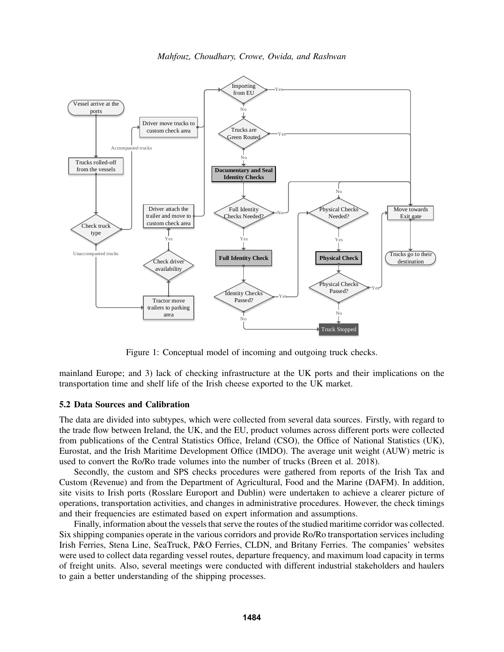



<span id="page-7-0"></span>Figure 1: Conceptual model of incoming and outgoing truck checks.

mainland Europe; and 3) lack of checking infrastructure at the UK ports and their implications on the transportation time and shelf life of the Irish cheese exported to the UK market.

#### 5.2 Data Sources and Calibration

The data are divided into subtypes, which were collected from several data sources. Firstly, with regard to the trade flow between Ireland, the UK, and the EU, product volumes across different ports were collected from publications of the Central Statistics Office, Ireland (CSO), the Office of National Statistics (UK), Eurostat, and the Irish Maritime Development Office (IMDO). The average unit weight (AUW) metric is used to convert the Ro/Ro trade volumes into the number of trucks [\(Breen et al. 2018\)](#page-13-2).

Secondly, the custom and SPS checks procedures were gathered from reports of the Irish Tax and Custom (Revenue) and from the Department of Agricultural, Food and the Marine (DAFM). In addition, site visits to Irish ports (Rosslare Europort and Dublin) were undertaken to achieve a clearer picture of operations, transportation activities, and changes in administrative procedures. However, the check timings and their frequencies are estimated based on expert information and assumptions.

Finally, information about the vessels that serve the routes of the studied maritime corridor was collected. Six shipping companies operate in the various corridors and provide Ro/Ro transportation services including Irish Ferries, Stena Line, SeaTruck, P&O Ferries, CLDN, and Britany Ferries. The companies' websites were used to collect data regarding vessel routes, departure frequency, and maximum load capacity in terms of freight units. Also, several meetings were conducted with different industrial stakeholders and haulers to gain a better understanding of the shipping processes.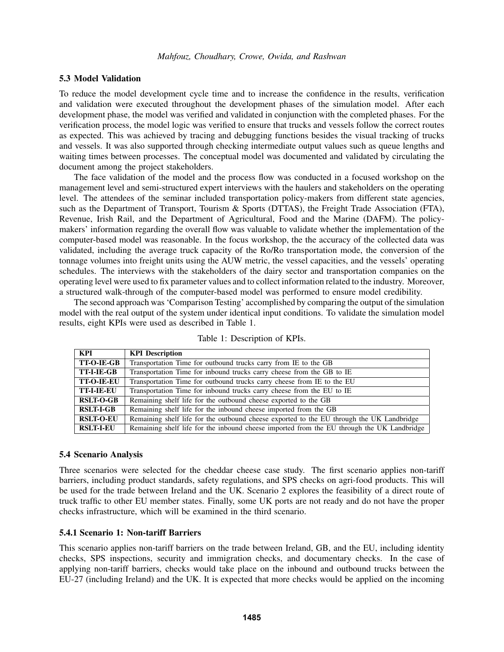#### 5.3 Model Validation

To reduce the model development cycle time and to increase the confidence in the results, verification and validation were executed throughout the development phases of the simulation model. After each development phase, the model was verified and validated in conjunction with the completed phases. For the verification process, the model logic was verified to ensure that trucks and vessels follow the correct routes as expected. This was achieved by tracing and debugging functions besides the visual tracking of trucks and vessels. It was also supported through checking intermediate output values such as queue lengths and waiting times between processes. The conceptual model was documented and validated by circulating the document among the project stakeholders.

The face validation of the model and the process flow was conducted in a focused workshop on the management level and semi-structured expert interviews with the haulers and stakeholders on the operating level. The attendees of the seminar included transportation policy-makers from different state agencies, such as the Department of Transport, Tourism & Sports (DTTAS), the Freight Trade Association (FTA), Revenue, Irish Rail, and the Department of Agricultural, Food and the Marine (DAFM). The policymakers' information regarding the overall flow was valuable to validate whether the implementation of the computer-based model was reasonable. In the focus workshop, the the accuracy of the collected data was validated, including the average truck capacity of the Ro/Ro transportation mode, the conversion of the tonnage volumes into freight units using the AUW metric, the vessel capacities, and the vessels' operating schedules. The interviews with the stakeholders of the dairy sector and transportation companies on the operating level were used to fix parameter values and to collect information related to the industry. Moreover, a structured walk-through of the computer-based model was performed to ensure model credibility.

The second approach was 'Comparison Testing' accomplished by comparing the output of the simulation model with the real output of the system under identical input conditions. To validate the simulation model results, eight KPIs were used as described in Table [1.](#page-8-0)

| KPI               | <b>KPI</b> Description                                                                     |
|-------------------|--------------------------------------------------------------------------------------------|
| <b>TT-O-IE-GB</b> | Transportation Time for outbound trucks carry from IE to the GB                            |
| <b>TT-I-IE-GB</b> | Transportation Time for inbound trucks carry cheese from the GB to IE                      |
| <b>TT-O-IE-EU</b> | Transportation Time for outbound trucks carry cheese from IE to the EU                     |
| <b>TT-I-IE-EU</b> | Transportation Time for inbound trucks carry cheese from the EU to IE                      |
| <b>RSLT-O-GB</b>  | Remaining shelf life for the outbound cheese exported to the GB                            |
| <b>RSLT-I-GB</b>  | Remaining shelf life for the inbound cheese imported from the GB                           |
| <b>RSLT-O-EU</b>  | Remaining shelf life for the outbound cheese exported to the EU through the UK Landbridge  |
| <b>RSLT-I-EU</b>  | Remaining shelf life for the inbound cheese imported from the EU through the UK Landbridge |

<span id="page-8-0"></span>Table 1: Description of KPIs.

#### 5.4 Scenario Analysis

Three scenarios were selected for the cheddar cheese case study. The first scenario applies non-tariff barriers, including product standards, safety regulations, and SPS checks on agri-food products. This will be used for the trade between Ireland and the UK. Scenario 2 explores the feasibility of a direct route of truck traffic to other EU member states. Finally, some UK ports are not ready and do not have the proper checks infrastructure, which will be examined in the third scenario.

#### 5.4.1 Scenario 1: Non-tariff Barriers

This scenario applies non-tariff barriers on the trade between Ireland, GB, and the EU, including identity checks, SPS inspections, security and immigration checks, and documentary checks. In the case of applying non-tariff barriers, checks would take place on the inbound and outbound trucks between the EU-27 (including Ireland) and the UK. It is expected that more checks would be applied on the incoming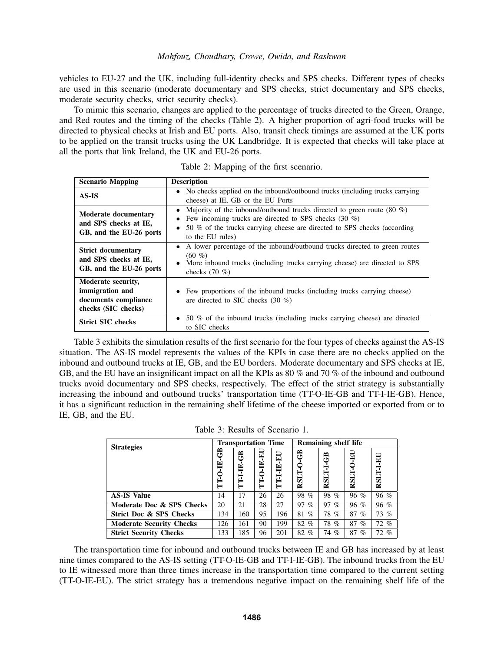vehicles to EU-27 and the UK, including full-identity checks and SPS checks. Different types of checks are used in this scenario (moderate documentary and SPS checks, strict documentary and SPS checks, moderate security checks, strict security checks).

To mimic this scenario, changes are applied to the percentage of trucks directed to the Green, Orange, and Red routes and the timing of the checks (Table [2\)](#page-9-0). A higher proportion of agri-food trucks will be directed to physical checks at Irish and EU ports. Also, transit check timings are assumed at the UK ports to be applied on the transit trucks using the UK Landbridge. It is expected that checks will take place at all the ports that link Ireland, the UK and EU-26 ports.

| <b>Scenario Mapping</b>                                                              | <b>Description</b>                                                                                                                                                                                                                                    |  |  |
|--------------------------------------------------------------------------------------|-------------------------------------------------------------------------------------------------------------------------------------------------------------------------------------------------------------------------------------------------------|--|--|
| AS-IS                                                                                | • No checks applied on the inbound/outbound trucks (including trucks carrying<br>cheese) at IE, GB or the EU Ports                                                                                                                                    |  |  |
| Moderate documentary<br>and SPS checks at IE,<br>GB, and the EU-26 ports             | • Majority of the inbound/outbound trucks directed to green route $(80 \%)$<br>Few incoming trucks are directed to SPS checks $(30\%)$<br>$\bullet$<br>• 50 % of the trucks carrying cheese are directed to SPS checks (according<br>to the EU rules) |  |  |
| <b>Strict documentary</b><br>and SPS checks at IE,<br>GB, and the EU-26 ports        | • A lower percentage of the inbound/outbound trucks directed to green routes<br>(60, 96)<br>• More inbound trucks (including trucks carrying cheese) are directed to SPS<br>checks $(70\%)$                                                           |  |  |
| Moderate security,<br>immigration and<br>documents compliance<br>checks (SIC checks) | • Few proportions of the inbound trucks (including trucks carrying cheese)<br>are directed to SIC checks $(30\%)$                                                                                                                                     |  |  |
| <b>Strict SIC checks</b>                                                             | • 50 % of the inbound trucks (including trucks carrying cheese) are directed<br>to SIC checks                                                                                                                                                         |  |  |

<span id="page-9-0"></span>Table 2: Mapping of the first scenario.

Table [3](#page-9-1) exhibits the simulation results of the first scenario for the four types of checks against the AS-IS situation. The AS-IS model represents the values of the KPIs in case there are no checks applied on the inbound and outbound trucks at IE, GB, and the EU borders. Moderate documentary and SPS checks at IE, GB, and the EU have an insignificant impact on all the KPIs as 80 % and 70 % of the inbound and outbound trucks avoid documentary and SPS checks, respectively. The effect of the strict strategy is substantially increasing the inbound and outbound trucks' transportation time (TT-O-IE-GB and TT-I-IE-GB). Hence, it has a significant reduction in the remaining shelf lifetime of the cheese imported or exported from or to IE, GB, and the EU.

<span id="page-9-1"></span>Table 3: Results of Scenario 1.

| <b>Strategies</b>                  |     | <b>Transportation Time</b> |       |              |            | Remaining shelf life |             |          |  |
|------------------------------------|-----|----------------------------|-------|--------------|------------|----------------------|-------------|----------|--|
|                                    | GB  | GB                         | $\Xi$ | $\mathbf{E}$ | B          | සි                   | $E_{\rm U}$ |          |  |
|                                    | œ   |                            | È     |              | ⊂          |                      |             | RSLT-LEU |  |
|                                    |     | TT-1-IE                    |       | TT-I-IE      | RSLT-      | RSLT-I-              | RSLT-       |          |  |
|                                    | E   |                            | Ě     |              |            |                      |             |          |  |
| <b>AS-IS Value</b>                 | 14  | 17                         | 26    | 26           | 98 %       | 98 %                 | $96 \%$     | $96\%$   |  |
| Moderate Doc & SPS Checks          | 20  | 21                         | 28    | 27           | 97<br>$\%$ | 97<br>$\%$           | $96 \%$     | 96 %     |  |
| <b>Strict Doc &amp; SPS Checks</b> | 134 | 160                        | 95    | 196          | 81 %       | 78 %                 | 87<br>$\%$  | $73\%$   |  |
| <b>Moderate Security Checks</b>    | 126 | 161                        | 90    | 199          | 82 %       | 78 %                 | 87<br>$\%$  | $72\%$   |  |
| <b>Strict Security Checks</b>      | 133 | 185                        | 96    | 201          | 82<br>$\%$ | 74 %                 | 87<br>$\%$  | $72\%$   |  |

The transportation time for inbound and outbound trucks between IE and GB has increased by at least nine times compared to the AS-IS setting (TT-O-IE-GB and TT-I-IE-GB). The inbound trucks from the EU to IE witnessed more than three times increase in the transportation time compared to the current setting (TT-O-IE-EU). The strict strategy has a tremendous negative impact on the remaining shelf life of the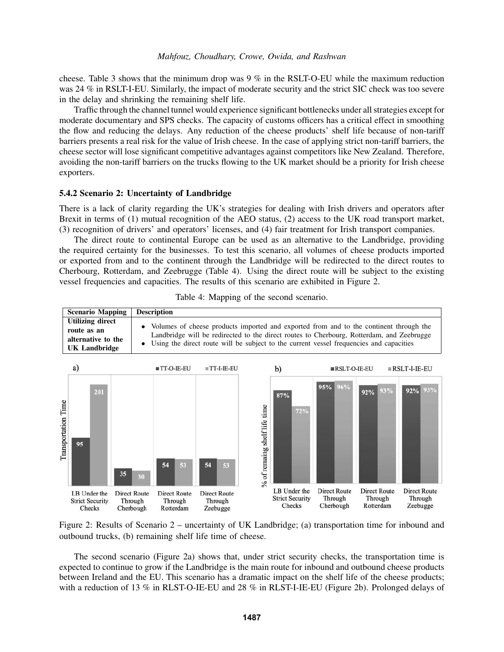cheese. Table [3](#page-9-1) shows that the minimum drop was  $9\%$  in the RSLT-O-EU while the maximum reduction was 24 % in RSLT-I-EU. Similarly, the impact of moderate security and the strict SIC check was too severe in the delay and shrinking the remaining shelf life.

Traffic through the channel tunnel would experience significant bottlenecks under all strategies except for moderate documentary and SPS checks. The capacity of customs officers has a critical effect in smoothing the flow and reducing the delays. Any reduction of the cheese products' shelf life because of non-tariff barriers presents a real risk for the value of Irish cheese. In the case of applying strict non-tariff barriers, the cheese sector will lose significant competitive advantages against competitors like New Zealand. Therefore, avoiding the non-tariff barriers on the trucks flowing to the UK market should be a priority for Irish cheese exporters.

#### 5.4.2 Scenario 2: Uncertainty of Landbridge

There is a lack of clarity regarding the UK's strategies for dealing with Irish drivers and operators after Brexit in terms of (1) mutual recognition of the AEO status, (2) access to the UK road transport market, (3) recognition of drivers' and operators' licenses, and (4) fair treatment for Irish transport companies.

The direct route to continental Europe can be used as an alternative to the Landbridge, providing the required certainty for the businesses. To test this scenario, all volumes of cheese products imported or exported from and to the continent through the Landbridge will be redirected to the direct routes to Cherbourg, Rotterdam, and Zeebrugge (Table [4\)](#page-10-0). Using the direct route will be subject to the existing vessel frequencies and capacities. The results of this scenario are exhibited in Figure [2.](#page-10-1)



<span id="page-10-0"></span>Table 4: Mapping of the second scenario.

<span id="page-10-1"></span>Figure 2: Results of Scenario 2 – uncertainty of UK Landbridge; (a) transportation time for inbound and outbound trucks, (b) remaining shelf life time of cheese.

The second scenario (Figure 2a) shows that, under strict security checks, the transportation time is expected to continue to grow if the Landbridge is the main route for inbound and outbound cheese products between Ireland and the EU. This scenario has a dramatic impact on the shelf life of the cheese products; with a reduction of 13 % in RLST-O-IE-EU and 28 % in RLST-I-IE-EU (Figure 2b). Prolonged delays of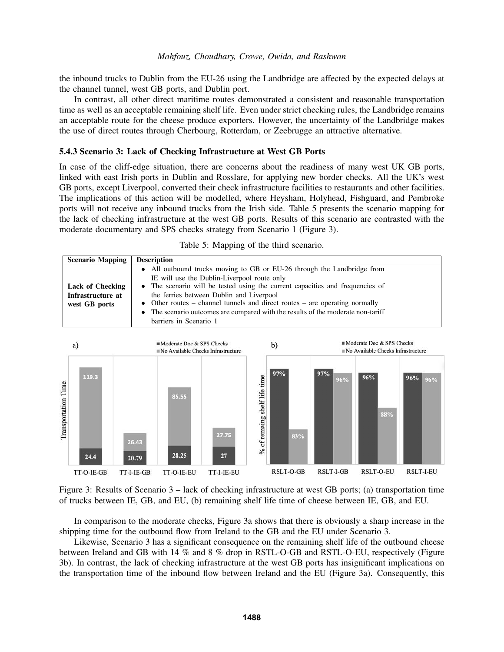the inbound trucks to Dublin from the EU-26 using the Landbridge are affected by the expected delays at the channel tunnel, west GB ports, and Dublin port.

In contrast, all other direct maritime routes demonstrated a consistent and reasonable transportation time as well as an acceptable remaining shelf life. Even under strict checking rules, the Landbridge remains an acceptable route for the cheese produce exporters. However, the uncertainty of the Landbridge makes the use of direct routes through Cherbourg, Rotterdam, or Zeebrugge an attractive alternative.

#### 5.4.3 Scenario 3: Lack of Checking Infrastructure at West GB Ports

In case of the cliff-edge situation, there are concerns about the readiness of many west UK GB ports, linked with east Irish ports in Dublin and Rosslare, for applying new border checks. All the UK's west GB ports, except Liverpool, converted their check infrastructure facilities to restaurants and other facilities. The implications of this action will be modelled, where Heysham, Holyhead, Fishguard, and Pembroke ports will not receive any inbound trucks from the Irish side. Table [5](#page-11-0) presents the scenario mapping for the lack of checking infrastructure at the west GB ports. Results of this scenario are contrasted with the moderate documentary and SPS checks strategy from Scenario 1 (Figure [3\)](#page-11-1).

| <b>Scenario Mapping</b>                                       | <b>Description</b>                                                                                                                                                                                                                                                                                                                                                                                                                               |
|---------------------------------------------------------------|--------------------------------------------------------------------------------------------------------------------------------------------------------------------------------------------------------------------------------------------------------------------------------------------------------------------------------------------------------------------------------------------------------------------------------------------------|
| <b>Lack of Checking</b><br>Infrastructure at<br>west GB ports | • All outbound trucks moving to GB or EU-26 through the Landbridge from<br>IE will use the Dublin-Liverpool route only<br>• The scenario will be tested using the current capacities and frequencies of<br>the ferries between Dublin and Liverpool<br>• Other routes – channel tunnels and direct routes – are operating normally<br>• The scenario outcomes are compared with the results of the moderate non-tariff<br>barriers in Scenario 1 |

<span id="page-11-0"></span>

| Table 5: Mapping of the third scenario. |  |
|-----------------------------------------|--|
|-----------------------------------------|--|



<span id="page-11-1"></span>Figure 3: Results of Scenario 3 – lack of checking infrastructure at west GB ports; (a) transportation time of trucks between IE, GB, and EU, (b) remaining shelf life time of cheese between IE, GB, and EU.

In comparison to the moderate checks, Figure 3a shows that there is obviously a sharp increase in the shipping time for the outbound flow from Ireland to the GB and the EU under Scenario 3.

Likewise, Scenario 3 has a significant consequence on the remaining shelf life of the outbound cheese between Ireland and GB with 14 % and 8 % drop in RSTL-O-GB and RSTL-O-EU, respectively (Figure 3b). In contrast, the lack of checking infrastructure at the west GB ports has insignificant implications on the transportation time of the inbound flow between Ireland and the EU (Figure 3a). Consequently, this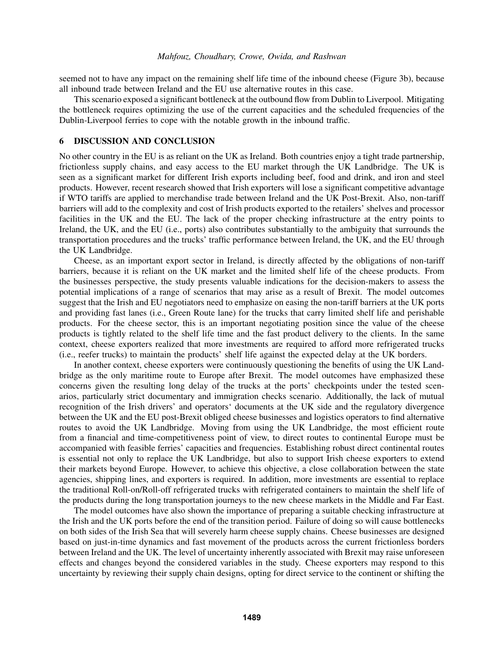seemed not to have any impact on the remaining shelf life time of the inbound cheese (Figure 3b), because all inbound trade between Ireland and the EU use alternative routes in this case.

This scenario exposed a significant bottleneck at the outbound flow from Dublin to Liverpool. Mitigating the bottleneck requires optimizing the use of the current capacities and the scheduled frequencies of the Dublin-Liverpool ferries to cope with the notable growth in the inbound traffic.

#### 6 DISCUSSION AND CONCLUSION

No other country in the EU is as reliant on the UK as Ireland. Both countries enjoy a tight trade partnership, frictionless supply chains, and easy access to the EU market through the UK Landbridge. The UK is seen as a significant market for different Irish exports including beef, food and drink, and iron and steel products. However, recent research showed that Irish exporters will lose a significant competitive advantage if WTO tariffs are applied to merchandise trade between Ireland and the UK Post-Brexit. Also, non-tariff barriers will add to the complexity and cost of Irish products exported to the retailers' shelves and processor facilities in the UK and the EU. The lack of the proper checking infrastructure at the entry points to Ireland, the UK, and the EU (i.e., ports) also contributes substantially to the ambiguity that surrounds the transportation procedures and the trucks' traffic performance between Ireland, the UK, and the EU through the UK Landbridge.

Cheese, as an important export sector in Ireland, is directly affected by the obligations of non-tariff barriers, because it is reliant on the UK market and the limited shelf life of the cheese products. From the businesses perspective, the study presents valuable indications for the decision-makers to assess the potential implications of a range of scenarios that may arise as a result of Brexit. The model outcomes suggest that the Irish and EU negotiators need to emphasize on easing the non-tariff barriers at the UK ports and providing fast lanes (i.e., Green Route lane) for the trucks that carry limited shelf life and perishable products. For the cheese sector, this is an important negotiating position since the value of the cheese products is tightly related to the shelf life time and the fast product delivery to the clients. In the same context, cheese exporters realized that more investments are required to afford more refrigerated trucks (i.e., reefer trucks) to maintain the products' shelf life against the expected delay at the UK borders.

In another context, cheese exporters were continuously questioning the benefits of using the UK Landbridge as the only maritime route to Europe after Brexit. The model outcomes have emphasized these concerns given the resulting long delay of the trucks at the ports' checkpoints under the tested scenarios, particularly strict documentary and immigration checks scenario. Additionally, the lack of mutual recognition of the Irish drivers' and operators' documents at the UK side and the regulatory divergence between the UK and the EU post-Brexit obliged cheese businesses and logistics operators to find alternative routes to avoid the UK Landbridge. Moving from using the UK Landbridge, the most efficient route from a financial and time-competitiveness point of view, to direct routes to continental Europe must be accompanied with feasible ferries' capacities and frequencies. Establishing robust direct continental routes is essential not only to replace the UK Landbridge, but also to support Irish cheese exporters to extend their markets beyond Europe. However, to achieve this objective, a close collaboration between the state agencies, shipping lines, and exporters is required. In addition, more investments are essential to replace the traditional Roll-on/Roll-off refrigerated trucks with refrigerated containers to maintain the shelf life of the products during the long transportation journeys to the new cheese markets in the Middle and Far East.

The model outcomes have also shown the importance of preparing a suitable checking infrastructure at the Irish and the UK ports before the end of the transition period. Failure of doing so will cause bottlenecks on both sides of the Irish Sea that will severely harm cheese supply chains. Cheese businesses are designed based on just-in-time dynamics and fast movement of the products across the current frictionless borders between Ireland and the UK. The level of uncertainty inherently associated with Brexit may raise unforeseen effects and changes beyond the considered variables in the study. Cheese exporters may respond to this uncertainty by reviewing their supply chain designs, opting for direct service to the continent or shifting the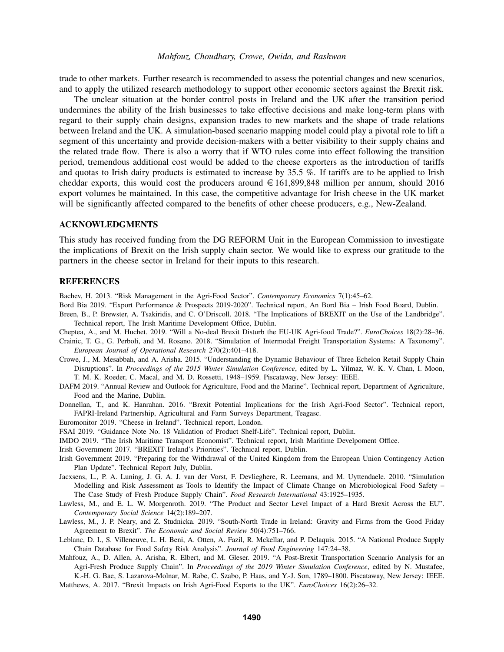trade to other markets. Further research is recommended to assess the potential changes and new scenarios, and to apply the utilized research methodology to support other economic sectors against the Brexit risk.

The unclear situation at the border control posts in Ireland and the UK after the transition period undermines the ability of the Irish businesses to take effective decisions and make long-term plans with regard to their supply chain designs, expansion trades to new markets and the shape of trade relations between Ireland and the UK. A simulation-based scenario mapping model could play a pivotal role to lift a segment of this uncertainty and provide decision-makers with a better visibility to their supply chains and the related trade flow. There is also a worry that if WTO rules come into effect following the transition period, tremendous additional cost would be added to the cheese exporters as the introduction of tariffs and quotas to Irish dairy products is estimated to increase by 35.5 %. If tariffs are to be applied to Irish cheddar exports, this would cost the producers around  $\in 161,899,848$  million per annum, should 2016 export volumes be maintained. In this case, the competitive advantage for Irish cheese in the UK market will be significantly affected compared to the benefits of other cheese producers, e.g., New-Zealand.

#### ACKNOWLEDGMENTS

This study has received funding from the DG REFORM Unit in the European Commission to investigate the implications of Brexit on the Irish supply chain sector. We would like to express our gratitude to the partners in the cheese sector in Ireland for their inputs to this research.

#### REFERENCES

<span id="page-13-9"></span>Bachev, H. 2013. "Risk Management in the Agri-Food Sector". *Contemporary Economics* 7(1):45–62.

- <span id="page-13-15"></span>Bord Bia 2019. "Export Performance & Prospects 2019-2020". Technical report, An Bord Bia – Irish Food Board, Dublin.
- <span id="page-13-2"></span>Breen, B., P. Brewster, A. Tsakiridis, and C. O'Driscoll. 2018. "The Implications of BREXIT on the Use of the Landbridge". Technical report, The Irish Maritime Development Office, Dublin.

<span id="page-13-4"></span>Cheptea, A., and M. Huchet. 2019. "Will a No-deal Brexit Disturb the EU-UK Agri-food Trade?". *EuroChoices* 18(2):28–36.

- <span id="page-13-12"></span>Crainic, T. G., G. Perboli, and M. Rosano. 2018. "Simulation of Intermodal Freight Transportation Systems: A Taxonomy". *European Journal of Operational Research* 270(2):401–418.
- <span id="page-13-0"></span>Crowe, J., M. Mesabbah, and A. Arisha. 2015. "Understanding the Dynamic Behaviour of Three Echelon Retail Supply Chain Disruptions". In *Proceedings of the 2015 Winter Simulation Conference*, edited by L. Yilmaz, W. K. V. Chan, I. Moon, T. M. K. Roeder, C. Macal, and M. D. Rossetti, 1948–1959. Piscataway, New Jersey: IEEE.
- <span id="page-13-17"></span>DAFM 2019. "Annual Review and Outlook for Agriculture, Food and the Marine". Technical report, Department of Agriculture, Food and the Marine, Dublin.
- <span id="page-13-8"></span>Donnellan, T., and K. Hanrahan. 2016. "Brexit Potential Implications for the Irish Agri-Food Sector". Technical report, FAPRI-Ireland Partnership, Agricultural and Farm Surveys Department, Teagasc.

<span id="page-13-18"></span>Euromonitor 2019. "Cheese in Ireland". Technical report, London.

- <span id="page-13-16"></span>FSAI 2019. "Guidance Note No. 18 Validation of Product Shelf-Life". Technical report, Dublin.
- <span id="page-13-1"></span>IMDO 2019. "The Irish Maritime Transport Economist". Technical report, Irish Maritime Develpoment Office.
- <span id="page-13-3"></span>Irish Government 2017. "BREXIT Ireland's Priorities". Technical report, Dublin.
- <span id="page-13-14"></span>Irish Government 2019. "Preparing for the Withdrawal of the United Kingdom from the European Union Contingency Action Plan Update". Technical Report July, Dublin.
- <span id="page-13-10"></span>Jacxsens, L., P. A. Luning, J. G. A. J. van der Vorst, F. Devlieghere, R. Leemans, and M. Uyttendaele. 2010. "Simulation Modelling and Risk Assessment as Tools to Identify the Impact of Climate Change on Microbiological Food Safety – The Case Study of Fresh Produce Supply Chain". *Food Research International* 43:1925–1935.
- <span id="page-13-6"></span>Lawless, M., and E. L. W. Morgenroth. 2019. "The Product and Sector Level Impact of a Hard Brexit Across the EU". *Contemporary Social Science* 14(2):189–207.
- <span id="page-13-5"></span>Lawless, M., J. P. Neary, and Z. Studnicka. 2019. "South-North Trade in Ireland: Gravity and Firms from the Good Friday Agreement to Brexit". *The Economic and Social Review* 50(4):751–766.
- <span id="page-13-11"></span>Leblanc, D. I., S. Villeneuve, L. H. Beni, A. Otten, A. Fazil, R. Mckellar, and P. Delaquis. 2015. "A National Produce Supply Chain Database for Food Safety Risk Analysis". *Journal of Food Engineering* 147:24–38.
- <span id="page-13-13"></span>Mahfouz, A., D. Allen, A. Arisha, R. Elbert, and M. Gleser. 2019. "A Post-Brexit Transportation Scenario Analysis for an Agri-Fresh Produce Supply Chain". In *Proceedings of the 2019 Winter Simulation Conference*, edited by N. Mustafee, K.-H. G. Bae, S. Lazarova-Molnar, M. Rabe, C. Szabo, P. Haas, and Y.-J. Son, 1789–1800. Piscataway, New Jersey: IEEE.
- <span id="page-13-7"></span>Matthews, A. 2017. "Brexit Impacts on Irish Agri-Food Exports to the UK". *EuroChoices* 16(2):26–32.